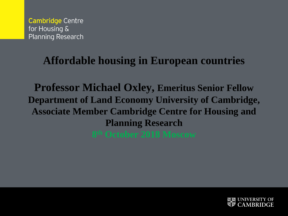#### **Affordable housing in European countries**

**Professor Michael Oxley, Emeritus Senior Fellow Department of Land Economy University of Cambridge, Associate Member Cambridge Centre for Housing and Planning Research** 

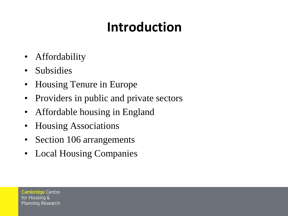## **Introduction**

- Affordability
- **Subsidies**
- Housing Tenure in Europe
- Providers in public and private sectors
- Affordable housing in England
- Housing Associations
- Section 106 arrangements
- Local Housing Companies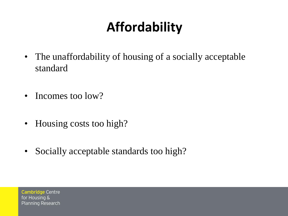## **Affordability**

- The unaffordability of housing of a socially acceptable standard
- Incomes too low?
- Housing costs too high?
- Socially acceptable standards too high?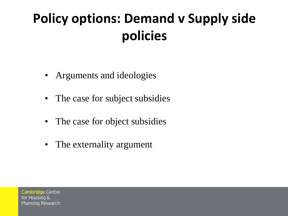## **Policy options: Demand v Supply side policies**

- Arguments and ideologies
- The case for subject subsidies
- The case for object subsidies
- The externality argument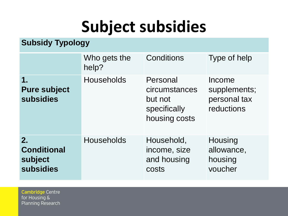# **Subject subsidies**

#### **Subsidy Typology**

|                                                         | Who gets the<br>help? | Conditions                                                            | Type of help                                         |
|---------------------------------------------------------|-----------------------|-----------------------------------------------------------------------|------------------------------------------------------|
| $\mathbf 1$<br><b>Pure subject</b><br><b>subsidies</b>  | <b>Households</b>     | Personal<br>circumstances<br>but not<br>specifically<br>housing costs | Income<br>supplements;<br>personal tax<br>reductions |
| 2.<br><b>Conditional</b><br>subject<br><b>subsidies</b> | <b>Households</b>     | Household,<br>income, size<br>and housing<br>costs                    | Housing<br>allowance,<br>housing<br>voucher          |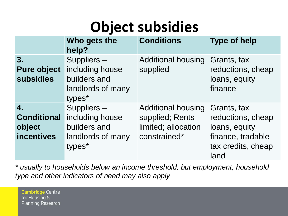## **Object subsidies**

|                                                         | Who gets the<br>help?                                                        | <b>Conditions</b>                                                                   | <b>Type of help</b>                                                                                  |
|---------------------------------------------------------|------------------------------------------------------------------------------|-------------------------------------------------------------------------------------|------------------------------------------------------------------------------------------------------|
| 3.<br><b>Pure object</b><br><b>subsidies</b>            | Suppliers-<br>including house<br>builders and<br>landlords of many<br>types* | <b>Additional housing</b><br>supplied                                               | Grants, tax<br>reductions, cheap<br>loans, equity<br>finance                                         |
| 4.<br><b>Conditional</b><br>object<br><b>incentives</b> | Suppliers-<br>including house<br>builders and<br>landlords of many<br>types* | <b>Additional housing</b><br>supplied; Rents<br>limited; allocation<br>constrained* | Grants, tax<br>reductions, cheap<br>loans, equity<br>finance, tradable<br>tax credits, cheap<br>land |

*\* usually to households below an income threshold, but employment, household type and other indicators of need may also apply*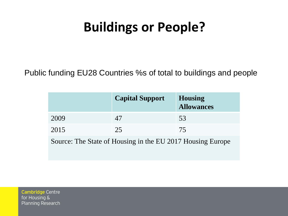### **Buildings or People?**

Public funding EU28 Countries %s of total to buildings and people

|                                                            | <b>Capital Support</b> | <b>Housing</b><br><b>Allowances</b> |  |
|------------------------------------------------------------|------------------------|-------------------------------------|--|
| 2009                                                       | 47                     | 53                                  |  |
| 2015                                                       | 25                     | 75                                  |  |
| Source: The State of Housing in the EU 2017 Housing Europe |                        |                                     |  |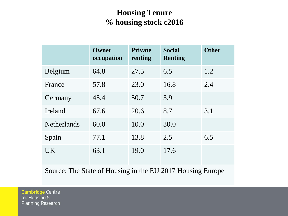#### **Housing Tenure % housing stock c2016**

|                    | Owner<br>occupation | <b>Private</b><br>renting | <b>Social</b><br><b>Renting</b> | <b>Other</b> |
|--------------------|---------------------|---------------------------|---------------------------------|--------------|
| <b>Belgium</b>     | 64.8                | 27.5                      | 6.5                             | 1.2          |
| France             | 57.8                | 23.0                      | 16.8                            | 2.4          |
| Germany            | 45.4                | 50.7                      | 3.9                             |              |
| Ireland            | 67.6                | 20.6                      | 8.7                             | 3.1          |
| <b>Netherlands</b> | 60.0                | 10.0                      | 30.0                            |              |
| Spain              | 77.1                | 13.8                      | 2.5                             | 6.5          |
| <b>UK</b>          | 63.1                | 19.0                      | 17.6                            |              |

Source: The State of Housing in the EU 2017 Housing Europe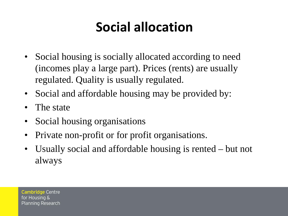## **Social allocation**

- Social housing is socially allocated according to need (incomes play a large part). Prices (rents) are usually regulated. Quality is usually regulated.
- Social and affordable housing may be provided by:
- The state
- Social housing organisations
- Private non-profit or for profit organisations.
- Usually social and affordable housing is rented but not always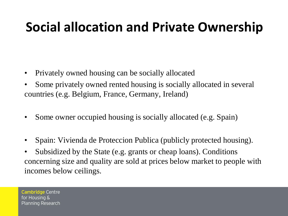## **Social allocation and Private Ownership**

- Privately owned housing can be socially allocated
- Some privately owned rented housing is socially allocated in several countries (e.g. Belgium, France, Germany, Ireland)
- Some owner occupied housing is socially allocated (e.g. Spain)
- Spain: Vivienda de Proteccion Publica (publicly protected housing).
- Subsidized by the State (e.g. grants or cheap loans). Conditions concerning size and quality are sold at prices below market to people with incomes below ceilings.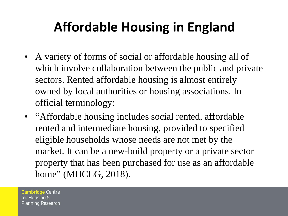## **Affordable Housing in England**

- A variety of forms of social or affordable housing all of which involve collaboration between the public and private sectors. Rented affordable housing is almost entirely owned by local authorities or housing associations. In official terminology:
- "Affordable housing includes social rented, affordable rented and intermediate housing, provided to specified eligible households whose needs are not met by the market. It can be a new-build property or a private sector property that has been purchased for use as an affordable home" (MHCLG, 2018).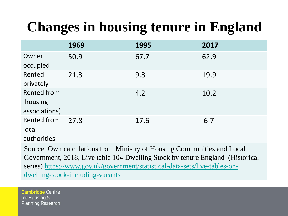## **Changes in housing tenure in England**

|                                                | 1969 | 1995 | 2017 |
|------------------------------------------------|------|------|------|
| Owner<br>occupied                              | 50.9 | 67.7 | 62.9 |
| Rented<br>privately                            | 21.3 | 9.8  | 19.9 |
| <b>Rented from</b><br>housing<br>associations) |      | 4.2  | 10.2 |
| Rented from<br>local<br>authorities            | 27.8 | 17.6 | 6.7  |

Source: Own calculations from Ministry of Housing Communities and Local Government, 2018, Live table 104 Dwelling Stock by tenure England (Historical [series\) https://www.gov.uk/government/statistical-data-sets/live-tables-on](https://www.gov.uk/government/statistical-data-sets/live-tables-on-dwelling-stock-including-vacants)dwelling-stock-including-vacants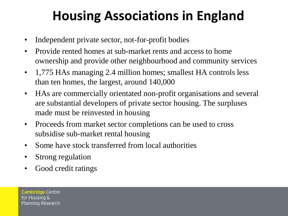## **Housing Associations in England**

- Independent private sector, not-for-profit bodies
- Provide rented homes at sub-market rents and access to home ownership and provide other neighbourhood and community services
- 1,775 HAs managing 2.4 million homes; smallest HA controls less than ten homes, the largest, around 140,000
- HAs are commercially orientated non-profit organisations and several are substantial developers of private sector housing. The surpluses made must be reinvested in housing
- Proceeds from market sector completions can be used to cross subsidise sub-market rental housing
- Some have stock transferred from local authorities
- Strong regulation
- Good credit ratings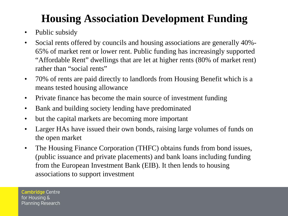#### **Housing Association Development Funding**

- Public subsidy
- Social rents offered by councils and housing associations are generally 40%- 65% of market rent or lower rent. Public funding has increasingly supported "Affordable Rent" dwellings that are let at higher rents (80% of market rent) rather than "social rents"
- 70% of rents are paid directly to landlords from Housing Benefit which is a means tested housing allowance
- Private finance has become the main source of investment funding
- Bank and building society lending have predominated
- but the capital markets are becoming more important
- Larger HAs have issued their own bonds, raising large volumes of funds on the open market
- The Housing Finance Corporation (THFC) obtains funds from bond issues, (public issuance and private placements) and bank loans including funding from the European Investment Bank (EIB). It then lends to housing associations to support investment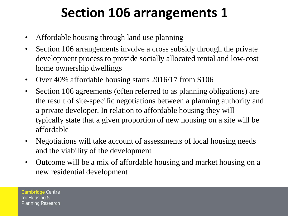### **Section 106 arrangements 1**

- Affordable housing through land use planning
- Section 106 arrangements involve a cross subsidy through the private development process to provide socially allocated rental and low-cost home ownership dwellings
- Over 40% affordable housing starts 2016/17 from S106
- Section 106 agreements (often referred to as planning obligations) are the result of site-specific negotiations between a planning authority and a private developer. In relation to affordable housing they will typically state that a given proportion of new housing on a site will be affordable
- Negotiations will take account of assessments of local housing needs and the viability of the development
- Outcome will be a mix of affordable housing and market housing on a new residential development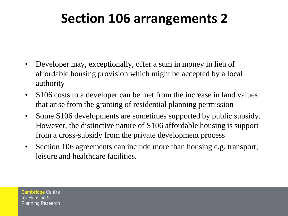### **Section 106 arrangements 2**

- Developer may, exceptionally, offer a sum in money in lieu of affordable housing provision which might be accepted by a local authority
- S106 costs to a developer can be met from the increase in land values that arise from the granting of residential planning permission
- Some S106 developments are sometimes supported by public subsidy. However, the distinctive nature of S106 affordable housing is support from a cross-subsidy from the private development process
- Section 106 agreements can include more than housing e.g. transport, leisure and healthcare facilities.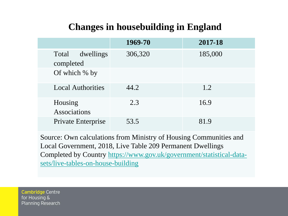#### **Changes in housebuilding in England**

|                                 | 1969-70 | 2017-18 |
|---------------------------------|---------|---------|
| Total<br>dwellings<br>completed | 306,320 | 185,000 |
| Of which % by                   |         |         |
| <b>Local Authorities</b>        | 44.2    | 1.2     |
| Housing<br><b>Associations</b>  | 2.3     | 16.9    |
| Private Enterprise              | 53.5    | 81.9    |

Source: Own calculations from Ministry of Housing Communities and Local Government, 2018, Live Table 209 Permanent Dwellings [Completed by Country https://www.gov.uk/government/statistical-data](https://www.gov.uk/government/statistical-data-sets/live-tables-on-house-building)sets/live-tables-on-house-building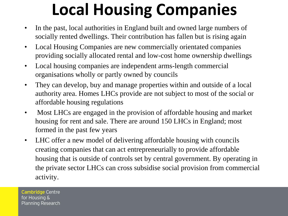# **Local Housing Companies**

- In the past, local authorities in England built and owned large numbers of socially rented dwellings. Their contribution has fallen but is rising again
- Local Housing Companies are new commercially orientated companies providing socially allocated rental and low-cost home ownership dwellings
- Local housing companies are independent arms-length commercial organisations wholly or partly owned by councils
- They can develop, buy and manage properties within and outside of a local authority area. Homes LHCs provide are not subject to most of the social or affordable housing regulations
- Most LHCs are engaged in the provision of affordable housing and market housing for rent and sale. There are around 150 LHCs in England; most formed in the past few years
- LHC offer a new model of delivering affordable housing with councils creating companies that can act entrepreneurially to provide affordable housing that is outside of controls set by central government. By operating in the private sector LHCs can cross subsidise social provision from commercial activity.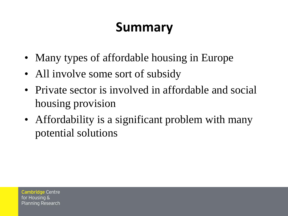## **Summary**

- Many types of affordable housing in Europe
- All involve some sort of subsidy
- Private sector is involved in affordable and social housing provision
- Affordability is a significant problem with many potential solutions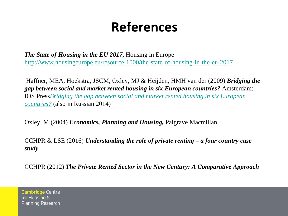### **References**

*The State of Housing in the EU 2017***,** Housing in Europe <http://www.housingeurope.eu/resource-1000/the-state-of-housing-in-the-eu-2017>

Haffner, MEA, Hoekstra, JSCM, Oxley, MJ & Heijden, HMH van der (2009) *Bridging the gap between social and market rented housing in six European countries?* Amsterdam: IOS Press*Bridging [the gap between social and market rented housing in six European](https://repository.tudelft.nl/islandora/object/uuid:d35c0ed4-7874-4413-8b90-25352ec8c980?collection=research) countries?* (also in Russian 2014)

Oxley, M (2004) *Economics, Planning and Housing,* Palgrave Macmillan

CCHPR & LSE (2016) *Understanding the role of private renting – a four country case study*

CCHPR (2012) *The Private Rented Sector in the New Century: A Comparative Approach*